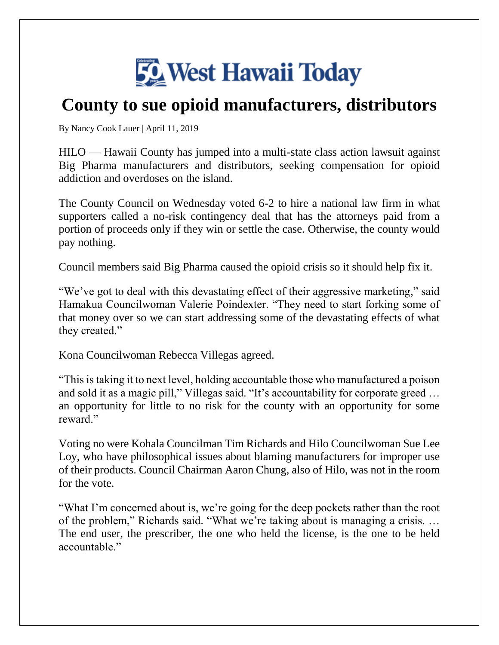

## **County to sue opioid manufacturers, distributors**

By [Nancy Cook Lauer |](https://www.westhawaiitoday.com/author/nancy-cook-lauer/) April 11, 2019

HILO — Hawaii County has jumped into a multi-state class action lawsuit against Big Pharma manufacturers and distributors, seeking compensation for opioid addiction and overdoses on the island.

The County Council on Wednesday voted 6-2 to hire a national law firm in what supporters called a no-risk contingency deal that has the attorneys paid from a portion of proceeds only if they win or settle the case. Otherwise, the county would pay nothing.

Council members said Big Pharma caused the opioid crisis so it should help fix it.

"We've got to deal with this devastating effect of their aggressive marketing," said Hamakua Councilwoman Valerie Poindexter. "They need to start forking some of that money over so we can start addressing some of the devastating effects of what they created."

Kona Councilwoman Rebecca Villegas agreed.

"This is taking it to next level, holding accountable those who manufactured a poison and sold it as a magic pill," Villegas said. "It's accountability for corporate greed … an opportunity for little to no risk for the county with an opportunity for some reward."

Voting no were Kohala Councilman Tim Richards and Hilo Councilwoman Sue Lee Loy, who have philosophical issues about blaming manufacturers for improper use of their products. Council Chairman Aaron Chung, also of Hilo, was not in the room for the vote.

"What I'm concerned about is, we're going for the deep pockets rather than the root of the problem," Richards said. "What we're taking about is managing a crisis. … The end user, the prescriber, the one who held the license, is the one to be held accountable."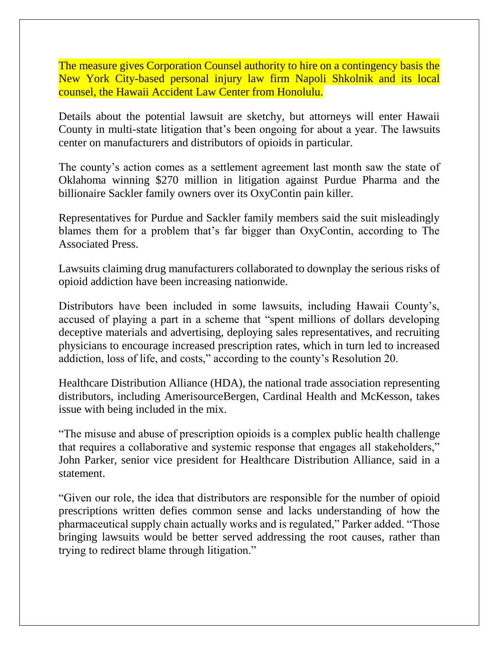The measure gives Corporation Counsel authority to hire on a contingency basis the New York City-based personal injury law firm Napoli Shkolnik and its local counsel, the Hawaii Accident Law Center from Honolulu.

Details about the potential lawsuit are sketchy, but attorneys will enter Hawaii County in multi-state litigation that's been ongoing for about a year. The lawsuits center on manufacturers and distributors of opioids in particular.

The county's action comes as a settlement agreement last month saw the state of Oklahoma winning \$270 million in litigation against Purdue Pharma and the billionaire Sackler family owners over its OxyContin pain killer.

Representatives for Purdue and Sackler family members said the suit misleadingly blames them for a problem that's far bigger than OxyContin, according to The Associated Press.

Lawsuits claiming drug manufacturers collaborated to downplay the serious risks of opioid addiction have been increasing nationwide.

Distributors have been included in some lawsuits, including Hawaii County's, accused of playing a part in a scheme that "spent millions of dollars developing deceptive materials and advertising, deploying sales representatives, and recruiting physicians to encourage increased prescription rates, which in turn led to increased addiction, loss of life, and costs," according to the county's Resolution 20.

Healthcare Distribution Alliance (HDA), the national trade association representing distributors, including AmerisourceBergen, Cardinal Health and McKesson, takes issue with being included in the mix.

"The misuse and abuse of prescription opioids is a complex public health challenge that requires a collaborative and systemic response that engages all stakeholders," John Parker, senior vice president for Healthcare Distribution Alliance, said in a statement.

"Given our role, the idea that distributors are responsible for the number of opioid prescriptions written defies common sense and lacks understanding of how the pharmaceutical supply chain actually works and is regulated," Parker added. "Those bringing lawsuits would be better served addressing the root causes, rather than trying to redirect blame through litigation."